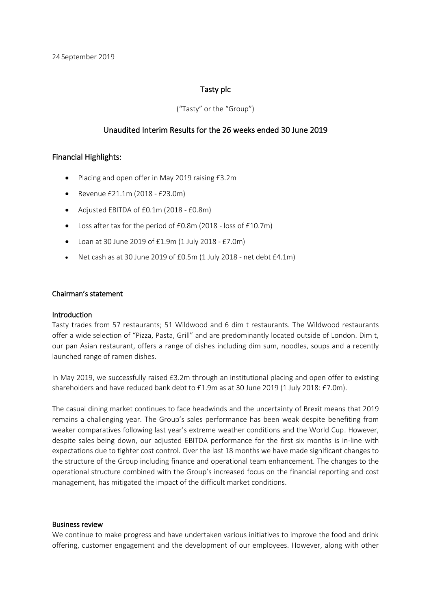#### Tasty plc

#### ("Tasty" or the "Group")

#### Unaudited Interim Results for the 26 weeks ended 30 June 2019

#### Financial Highlights:

- Placing and open offer in May 2019 raising £3.2m
- Revenue £21.1m (2018 £23.0m)
- Adjusted EBITDA of £0.1m (2018 £0.8m)
- Loss after tax for the period of £0.8m (2018 loss of £10.7m)
- Loan at 30 June 2019 of £1.9m (1 July 2018 £7.0m)
- Net cash as at 30 June 2019 of £0.5m (1 July 2018 net debt £4.1m)

#### Chairman's statement

#### Introduction

Tasty trades from 57 restaurants; 51 Wildwood and 6 dim t restaurants. The Wildwood restaurants offer a wide selection of "Pizza, Pasta, Grill" and are predominantly located outside of London. Dim t, our pan Asian restaurant, offers a range of dishes including dim sum, noodles, soups and a recently launched range of ramen dishes.

In May 2019, we successfully raised £3.2m through an institutional placing and open offer to existing shareholders and have reduced bank debt to £1.9m as at 30 June 2019 (1 July 2018: £7.0m).

The casual dining market continues to face headwinds and the uncertainty of Brexit means that 2019 remains a challenging year. The Group's sales performance has been weak despite benefiting from weaker comparatives following last year's extreme weather conditions and the World Cup. However, despite sales being down, our adjusted EBITDA performance for the first six months is in-line with expectations due to tighter cost control. Over the last 18 months we have made significant changes to the structure of the Group including finance and operational team enhancement. The changes to the operational structure combined with the Group's increased focus on the financial reporting and cost management, has mitigated the impact of the difficult market conditions.

#### Business review

We continue to make progress and have undertaken various initiatives to improve the food and drink offering, customer engagement and the development of our employees. However, along with other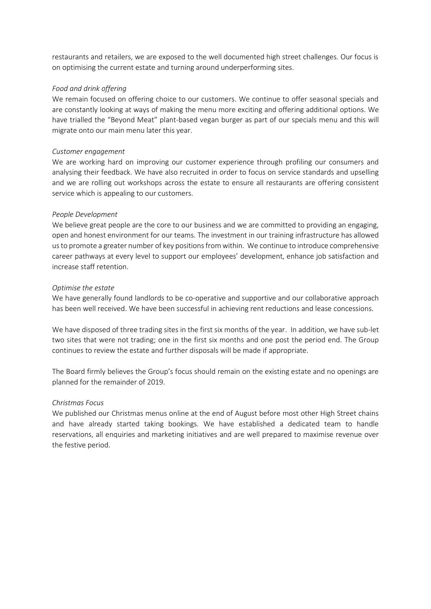restaurants and retailers, we are exposed to the well documented high street challenges. Our focus is on optimising the current estate and turning around underperforming sites.

#### *Food and drink offering*

We remain focused on offering choice to our customers. We continue to offer seasonal specials and are constantly looking at ways of making the menu more exciting and offering additional options. We have trialled the "Beyond Meat" plant-based vegan burger as part of our specials menu and this will migrate onto our main menu later this year.

#### *Customer engagement*

We are working hard on improving our customer experience through profiling our consumers and analysing their feedback. We have also recruited in order to focus on service standards and upselling and we are rolling out workshops across the estate to ensure all restaurants are offering consistent service which is appealing to our customers.

#### *People Development*

We believe great people are the core to our business and we are committed to providing an engaging, open and honest environment for our teams. The investment in our training infrastructure has allowed us to promote a greater number of key positions from within. We continue to introduce comprehensive career pathways at every level to support our employees' development, enhance job satisfaction and increase staff retention.

#### *Optimise the estate*

We have generally found landlords to be co-operative and supportive and our collaborative approach has been well received. We have been successful in achieving rent reductions and lease concessions.

We have disposed of three trading sites in the first six months of the year. In addition, we have sub-let two sites that were not trading; one in the first six months and one post the period end. The Group continues to review the estate and further disposals will be made if appropriate.

The Board firmly believes the Group's focus should remain on the existing estate and no openings are planned for the remainder of 2019.

#### *Christmas Focus*

We published our Christmas menus online at the end of August before most other High Street chains and have already started taking bookings. We have established a dedicated team to handle reservations, all enquiries and marketing initiatives and are well prepared to maximise revenue over the festive period.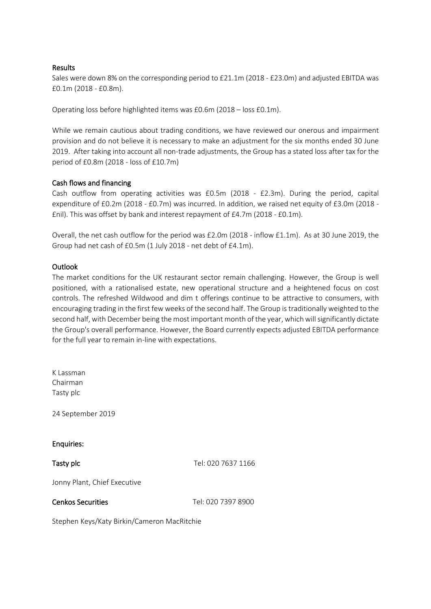#### Results

Sales were down 8% on the corresponding period to £21.1m (2018 - £23.0m) and adjusted EBITDA was £0.1m (2018 - £0.8m).

Operating loss before highlighted items was £0.6m (2018 – loss £0.1m).

While we remain cautious about trading conditions, we have reviewed our onerous and impairment provision and do not believe it is necessary to make an adjustment for the six months ended 30 June 2019. After taking into account all non-trade adjustments, the Group has a stated loss after tax for the period of £0.8m (2018 - loss of £10.7m)

#### Cash flows and financing

Cash outflow from operating activities was £0.5m (2018 - £2.3m). During the period, capital expenditure of £0.2m (2018 - £0.7m) was incurred. In addition, we raised net equity of £3.0m (2018 - £nil). This was offset by bank and interest repayment of £4.7m (2018 - £0.1m).

Overall, the net cash outflow for the period was £2.0m (2018 - inflow £1.1m). As at 30 June 2019, the Group had net cash of £0.5m (1 July 2018 - net debt of £4.1m).

#### Outlook

The market conditions for the UK restaurant sector remain challenging. However, the Group is well positioned, with a rationalised estate, new operational structure and a heightened focus on cost controls. The refreshed Wildwood and dim t offerings continue to be attractive to consumers, with encouraging trading in the first few weeks of the second half. The Group is traditionally weighted to the second half, with December being the most important month of the year, which will significantly dictate the Group's overall performance. However, the Board currently expects adjusted EBITDA performance for the full year to remain in-line with expectations.

K Lassman Chairman Tasty plc 24 September 2019 Enquiries: **Tasty plc** Tasty **Tel: 020 7637 1166** Jonny Plant, Chief Executive Cenkos Securities Tel: 020 7397 8900

Stephen Keys/Katy Birkin/Cameron MacRitchie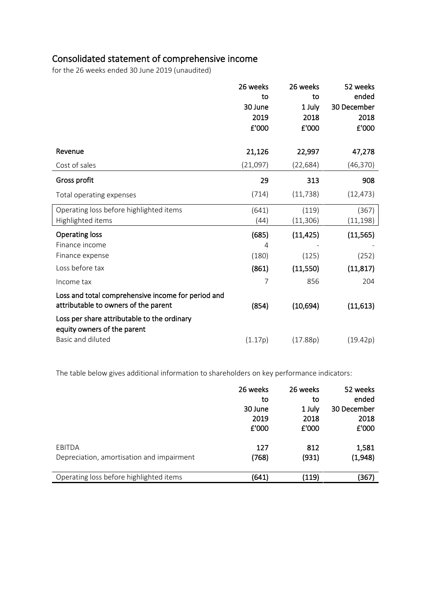# Consolidated statement of comprehensive income

for the 26 weeks ended 30 June 2019 (unaudited)

|                                                                                            | 26 weeks<br>to | 26 weeks<br>to | 52 weeks<br>ended |
|--------------------------------------------------------------------------------------------|----------------|----------------|-------------------|
|                                                                                            | 30 June        | 1 July         | 30 December       |
|                                                                                            | 2019           | 2018           | 2018              |
|                                                                                            | £'000          | £'000          | £'000             |
| Revenue                                                                                    | 21,126         | 22,997         | 47,278            |
| Cost of sales                                                                              | (21,097)       | (22, 684)      | (46, 370)         |
| Gross profit                                                                               | 29             | 313            | 908               |
| Total operating expenses                                                                   | (714)          | (11, 738)      | (12, 473)         |
| Operating loss before highlighted items                                                    | (641)          | (119)          | (367)             |
| Highlighted items                                                                          | (44)           | (11, 306)      | (11, 198)         |
| <b>Operating loss</b>                                                                      | (685)          | (11, 425)      | (11, 565)         |
| Finance income                                                                             | 4              |                |                   |
| Finance expense                                                                            | (180)          | (125)          | (252)             |
| Loss before tax                                                                            | (861)          | (11,550)       | (11, 817)         |
| Income tax                                                                                 | 7              | 856            | 204               |
| Loss and total comprehensive income for period and<br>attributable to owners of the parent | (854)          | (10,694)       | (11,613)          |
| Loss per share attributable to the ordinary<br>equity owners of the parent                 |                |                |                   |
| Basic and diluted                                                                          | (1.17p)        | (17.88p)       | (19.42p)          |

The table below gives additional information to shareholders on key performance indicators:

|                                           | 26 weeks | 26 weeks | 52 weeks    |
|-------------------------------------------|----------|----------|-------------|
|                                           | to       | to       | ended       |
|                                           | 30 June  | 1 July   | 30 December |
|                                           | 2019     | 2018     | 2018        |
|                                           | £'000    | £'000    | £'000       |
| EBITDA                                    | 127      | 812      | 1,581       |
| Depreciation, amortisation and impairment | (768)    | (931)    | (1,948)     |
| Operating loss before highlighted items   | (641)    | (119)    | (367)       |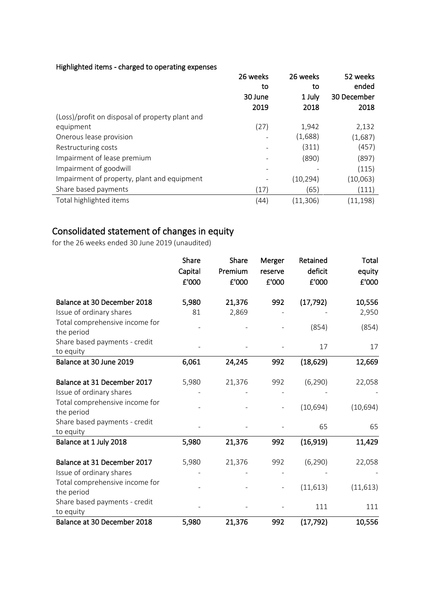#### Highlighted items - charged to operating expenses

|                                                 | 26 weeks | 26 weeks  | 52 weeks    |
|-------------------------------------------------|----------|-----------|-------------|
|                                                 | to       | to        | ended       |
|                                                 | 30 June  | 1 July    | 30 December |
|                                                 | 2019     | 2018      | 2018        |
| (Loss)/profit on disposal of property plant and |          |           |             |
| equipment                                       | (27)     | 1,942     | 2,132       |
| Onerous lease provision                         |          | (1,688)   | (1,687)     |
| Restructuring costs                             |          | (311)     | (457)       |
| Impairment of lease premium                     |          | (890)     | (897)       |
| Impairment of goodwill                          |          |           | (115)       |
| Impairment of property, plant and equipment     |          | (10, 294) | (10, 063)   |
| Share based payments                            | (17)     | (65)      | (111)       |
| Total highlighted items                         | (44)     | (11, 306) | (11, 198)   |

# Consolidated statement of changes in equity

for the 26 weeks ended 30 June 2019 (unaudited)

|                                              | Share<br>Capital<br>£'000 | Share<br>Premium<br>£'000 | Merger<br>reserve<br>£'000 | Retained<br>deficit<br>£'000 | Total<br>equity<br>£'000 |
|----------------------------------------------|---------------------------|---------------------------|----------------------------|------------------------------|--------------------------|
| Balance at 30 December 2018                  | 5,980                     | 21,376                    | 992                        | (17, 792)                    | 10,556                   |
| Issue of ordinary shares                     | 81                        | 2,869                     |                            |                              | 2,950                    |
| Total comprehensive income for<br>the period |                           |                           |                            | (854)                        | (854)                    |
| Share based payments - credit                |                           |                           |                            | 17                           | 17                       |
| to equity                                    |                           |                           |                            |                              |                          |
| Balance at 30 June 2019                      | 6,061                     | 24,245                    | 992                        | (18, 629)                    | 12,669                   |
| Balance at 31 December 2017                  | 5,980                     | 21,376                    | 992                        | (6, 290)                     | 22,058                   |
| Issue of ordinary shares                     |                           |                           |                            |                              |                          |
| Total comprehensive income for<br>the period |                           |                           |                            | (10, 694)                    | (10, 694)                |
| Share based payments - credit<br>to equity   |                           |                           |                            | 65                           | 65                       |
| Balance at 1 July 2018                       | 5,980                     | 21,376                    | 992                        | (16, 919)                    | 11,429                   |
| Balance at 31 December 2017                  | 5,980                     | 21,376                    | 992                        | (6, 290)                     | 22,058                   |
| Issue of ordinary shares                     |                           |                           |                            |                              |                          |
| Total comprehensive income for<br>the period |                           |                           |                            | (11, 613)                    | (11, 613)                |
| Share based payments - credit<br>to equity   |                           |                           |                            | 111                          | 111                      |
| Balance at 30 December 2018                  | 5,980                     | 21,376                    | 992                        | (17, 792)                    | 10,556                   |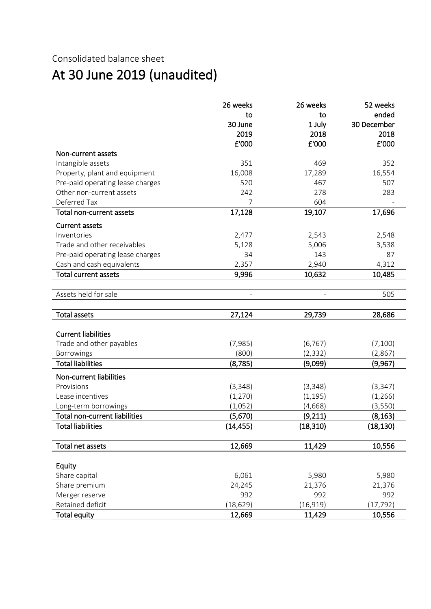## Consolidated balance sheet

# At 30 June 2019 (unaudited)

|                                      | 26 weeks       | 26 weeks  | 52 weeks    |
|--------------------------------------|----------------|-----------|-------------|
|                                      | to             | to        | ended       |
|                                      | 30 June        | 1 July    | 30 December |
|                                      | 2019           | 2018      | 2018        |
|                                      | £'000          | £'000     | £'000       |
| Non-current assets                   |                |           |             |
| Intangible assets                    | 351            | 469       | 352         |
| Property, plant and equipment        | 16,008         | 17,289    | 16,554      |
| Pre-paid operating lease charges     | 520            | 467       | 507         |
| Other non-current assets             | 242            | 278       | 283         |
| Deferred Tax                         | $\overline{7}$ | 604       |             |
| Total non-current assets             | 17,128         | 19,107    | 17,696      |
| <b>Current assets</b>                |                |           |             |
| Inventories                          | 2,477          | 2,543     | 2,548       |
| Trade and other receivables          | 5,128          | 5,006     | 3,538       |
| Pre-paid operating lease charges     | 34             | 143       | 87          |
| Cash and cash equivalents            | 2,357          | 2,940     | 4,312       |
| <b>Total current assets</b>          | 9,996          | 10,632    | 10,485      |
|                                      |                |           |             |
| Assets held for sale                 |                |           | 505         |
|                                      |                |           |             |
| <b>Total assets</b>                  | 27,124         | 29,739    | 28,686      |
|                                      |                |           |             |
| <b>Current liabilities</b>           |                |           |             |
| Trade and other payables             | (7,985)        | (6, 767)  | (7,100)     |
| Borrowings                           | (800)          | (2, 332)  | (2,867)     |
| <b>Total liabilities</b>             | (8, 785)       | (9,099)   | (9,967)     |
| Non-current liabilities              |                |           |             |
| Provisions                           | (3,348)        | (3, 348)  | (3, 347)    |
| Lease incentives                     | (1, 270)       | (1, 195)  | (1, 266)    |
| Long-term borrowings                 | (1,052)        | (4,668)   | (3, 550)    |
| <b>Total non-current liabilities</b> | (5,670)        | (9, 211)  | (8, 163)    |
| <b>Total liabilities</b>             | (14,455)       | (18,310)  | (18,130)    |
|                                      |                |           |             |
| Total net assets                     | 12,669         | 11,429    | 10,556      |
|                                      |                |           |             |
| Equity                               |                |           |             |
| Share capital                        | 6,061          | 5,980     | 5,980       |
| Share premium                        | 24,245         | 21,376    | 21,376      |
| Merger reserve                       | 992            | 992       | 992         |
| Retained deficit                     | (18, 629)      | (16, 919) | (17, 792)   |
| <b>Total equity</b>                  | 12,669         | 11,429    | 10,556      |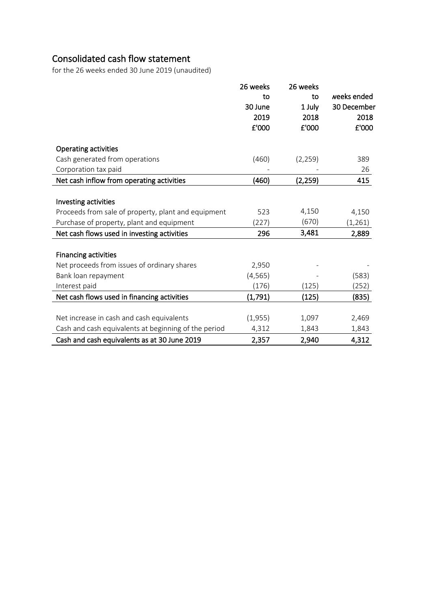# Consolidated cash flow statement

for the 26 weeks ended 30 June 2019 (unaudited)

|                                                      | 26 weeks | 26 weeks |             |
|------------------------------------------------------|----------|----------|-------------|
|                                                      | to       | to       | weeks ended |
|                                                      | 30 June  | 1 July   | 30 December |
|                                                      | 2019     | 2018     | 2018        |
|                                                      | £'000    | £'000    | £'000       |
| <b>Operating activities</b>                          |          |          |             |
| Cash generated from operations                       | (460)    | (2, 259) | 389         |
| Corporation tax paid                                 |          |          | 26          |
| Net cash inflow from operating activities            | (460)    | (2, 259) | 415         |
|                                                      |          |          |             |
| Investing activities                                 |          |          |             |
| Proceeds from sale of property, plant and equipment  | 523      | 4,150    | 4,150       |
| Purchase of property, plant and equipment            | (227)    | (670)    | (1, 261)    |
| Net cash flows used in investing activities          | 296      | 3,481    | 2,889       |
| <b>Financing activities</b>                          |          |          |             |
| Net proceeds from issues of ordinary shares          | 2,950    |          |             |
| Bank loan repayment                                  | (4, 565) |          | (583)       |
| Interest paid                                        | (176)    | (125)    | (252)       |
| Net cash flows used in financing activities          | (1, 791) | (125)    | (835)       |
|                                                      |          |          |             |
| Net increase in cash and cash equivalents            | (1,955)  | 1,097    | 2,469       |
| Cash and cash equivalents at beginning of the period | 4,312    | 1,843    | 1,843       |
| Cash and cash equivalents as at 30 June 2019         | 2,357    | 2,940    | 4,312       |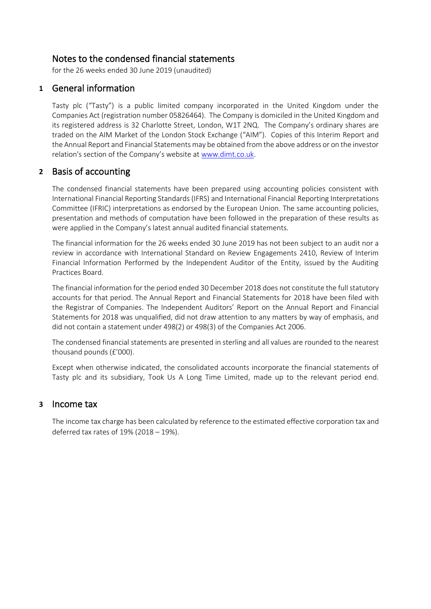### Notes to the condensed financial statements

for the 26 weeks ended 30 June <sup>2019</sup> (unaudited)

### **1** General information

Tasty plc ("Tasty") is a public limited company incorporated in the United Kingdom under the Companies Act (registration number 05826464). The Company is domiciled in the United Kingdom and its registered address is 32 Charlotte Street, London, W1T 2NQ. The Company's ordinary shares are traded on the AIM Market of the London Stock Exchange ("AIM"). Copies of this Interim Report and the Annual Report and Financial Statements may be obtained from the above address or on the investor relation's section of the Company's website at [www.dimt.co.uk.](http://www.dimt.co.uk/)

### **2** Basis of accounting

The condensed financial statements have been prepared using accounting policies consistent with International Financial Reporting Standards (IFRS) and International Financial Reporting Interpretations Committee (IFRIC) interpretations as endorsed by the European Union. The same accounting policies, presentation and methods of computation have been followed in the preparation of these results as were applied in the Company's latest annual audited financial statements.

The financial information for the 26 weeks ended 30 June 2019 has not been subject to an audit nor a review in accordance with International Standard on Review Engagements 2410, Review of Interim Financial Information Performed by the Independent Auditor of the Entity, issued by the Auditing Practices Board.

The financial information for the period ended 30 December 2018 does not constitute the full statutory accounts for that period. The Annual Report and Financial Statements for 2018 have been filed with the Registrar of Companies. The Independent Auditors' Report on the Annual Report and Financial Statements for 2018 was unqualified, did not draw attention to any matters by way of emphasis, and did not contain a statement under 498(2) or 498(3) of the Companies Act 2006.

The condensed financial statements are presented in sterling and all values are rounded to the nearest thousand pounds (£'000).

Except when otherwise indicated, the consolidated accounts incorporate the financial statements of Tasty plc and its subsidiary, Took Us A Long Time Limited, made up to the relevant period end.

### **3** Income tax

The income tax charge has been calculated by reference to the estimated effective corporation tax and deferred tax rates of 19% (2018 – 19%).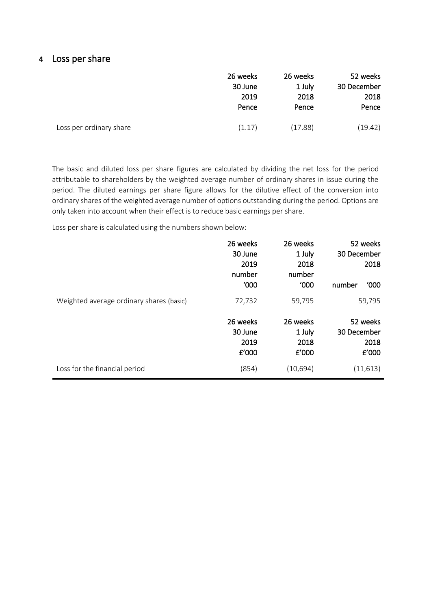### **4** Loss per share

|                         | 26 weeks<br>30 June | 26 weeks<br>1 July | 52 weeks<br>30 December |
|-------------------------|---------------------|--------------------|-------------------------|
|                         | 2019                | 2018               | 2018                    |
|                         | Pence               | Pence              | Pence                   |
| Loss per ordinary share | (1.17)              | (17.88)            | (19.42)                 |

The basic and diluted loss per share figures are calculated by dividing the net loss for the period attributable to shareholders by the weighted average number of ordinary shares in issue during the period. The diluted earnings per share figure allows for the dilutive effect of the conversion into ordinary shares of the weighted average number of options outstanding during the period. Options are only taken into account when their effect is to reduce basic earnings per share.

Loss per share is calculated using the numbers shown below:

|                                          | 26 weeks | 26 weeks  | 52 weeks       |
|------------------------------------------|----------|-----------|----------------|
|                                          | 30 June  | 1 July    | 30 December    |
|                                          | 2019     | 2018      | 2018           |
|                                          | number   | number    |                |
|                                          | '000     | '000      | '000<br>number |
| Weighted average ordinary shares (basic) | 72,732   | 59,795    | 59,795         |
|                                          | 26 weeks | 26 weeks  | 52 weeks       |
|                                          | 30 June  | 1 July    | 30 December    |
|                                          | 2019     | 2018      | 2018           |
|                                          | E'000    | £'000     | £'000          |
| Loss for the financial period            | (854)    | (10, 694) | (11, 613)      |